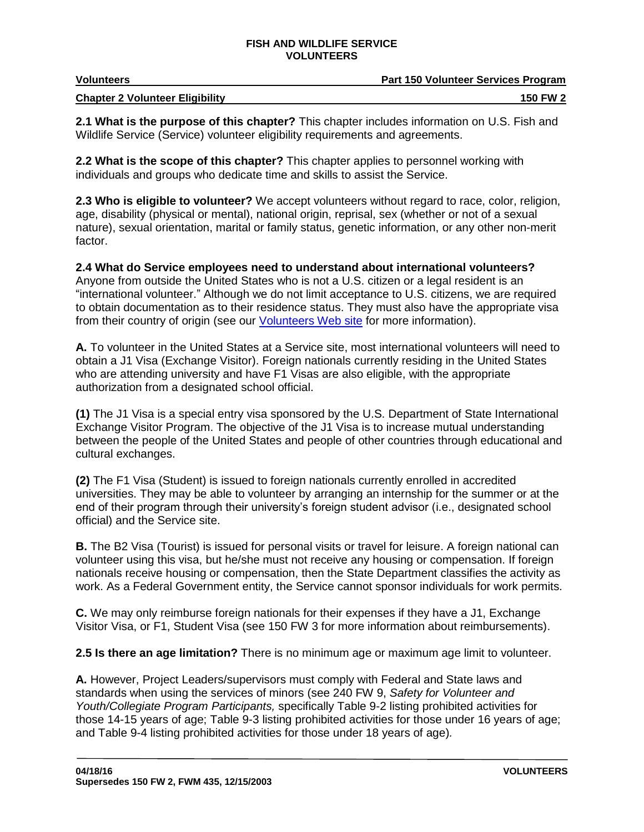| <b>Volunteers</b>                      | <b>Part 150 Volunteer Services Program</b> |
|----------------------------------------|--------------------------------------------|
| <b>Chapter 2 Volunteer Eligibility</b> | <b>150 FW 2</b>                            |

**2.1 What is the purpose of this chapter?** This chapter includes information on U.S. Fish and Wildlife Service (Service) volunteer eligibility requirements and agreements.

**2.2 What is the scope of this chapter?** This chapter applies to personnel working with individuals and groups who dedicate time and skills to assist the Service.

**2.3 Who is eligible to volunteer?** We accept volunteers without regard to race, color, religion, age, disability (physical or mental), national origin, reprisal, sex (whether or not of a sexual nature), sexual orientation, marital or family status, genetic information, or any other non-merit factor.

**2.4 What do Service employees need to understand about international volunteers?** Anyone from outside the United States who is not a U.S. citizen or a legal resident is an "international volunteer." Although we do not limit acceptance to U.S. citizens, we are required to obtain documentation as to their residence status. They must also have the appropriate visa from their country of origin (see our [Volunteers Web site](http://www.fws.gov/volunteers/resources.html) for more information).

**A.** To volunteer in the United States at a Service site, most international volunteers will need to obtain a J1 Visa (Exchange Visitor). Foreign nationals currently residing in the United States who are attending university and have F1 Visas are also eligible, with the appropriate authorization from a designated school official.

**(1)** The J1 Visa is a special entry visa sponsored by the U.S. Department of State International Exchange Visitor Program. The objective of the J1 Visa is to increase mutual understanding between the people of the United States and people of other countries through educational and cultural exchanges.

**(2)** The F1 Visa (Student) is issued to foreign nationals currently enrolled in accredited universities. They may be able to volunteer by arranging an internship for the summer or at the end of their program through their university's foreign student advisor (i.e., designated school official) and the Service site.

**B.** The B2 Visa (Tourist) is issued for personal visits or travel for leisure. A foreign national can volunteer using this visa, but he/she must not receive any housing or compensation. If foreign nationals receive housing or compensation, then the State Department classifies the activity as work. As a Federal Government entity, the Service cannot sponsor individuals for work permits.

**C.** We may only reimburse foreign nationals for their expenses if they have a J1, Exchange Visitor Visa, or F1, Student Visa (see 150 FW 3 for more information about reimbursements).

**2.5 Is there an age limitation?** There is no minimum age or maximum age limit to volunteer.

**A.** However, Project Leaders/supervisors must comply with Federal and State laws and standards when using the services of minors (see 240 FW 9, *Safety for Volunteer and Youth/Collegiate Program Participants,* specifically Table 9-2 listing prohibited activities for those 14-15 years of age; Table 9-3 listing prohibited activities for those under 16 years of age; and Table 9-4 listing prohibited activities for those under 18 years of age)*.*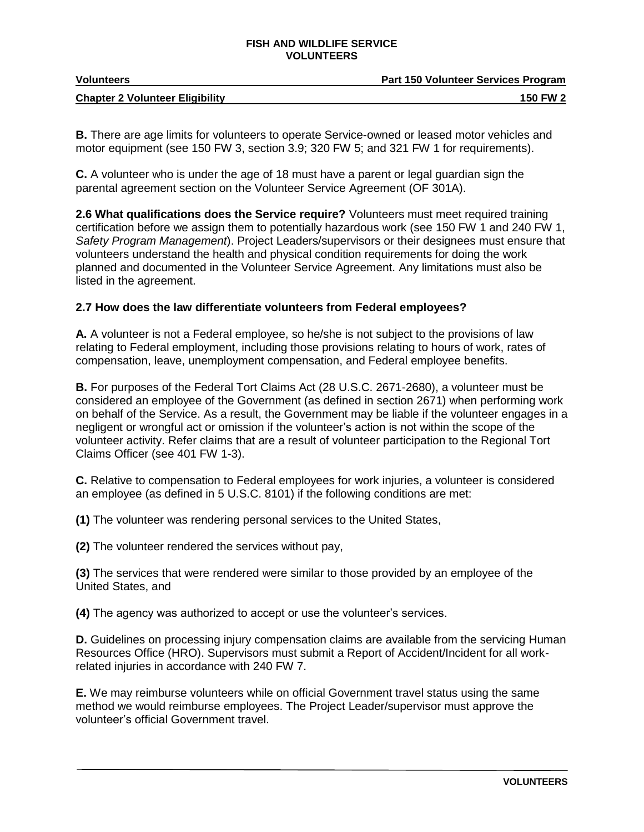| <b>Volunteers</b>                      | <b>Part 150 Volunteer Services Program</b> |
|----------------------------------------|--------------------------------------------|
| <b>Chapter 2 Volunteer Eligibility</b> | <b>150 FW 2</b>                            |

**B.** There are age limits for volunteers to operate Service-owned or leased motor vehicles and motor equipment (see 150 FW 3, section 3.9; 320 FW 5; and 321 FW 1 for requirements).

**C.** A volunteer who is under the age of 18 must have a parent or legal guardian sign the parental agreement section on the Volunteer Service Agreement (OF 301A).

**2.6 What qualifications does the Service require?** Volunteers must meet required training certification before we assign them to potentially hazardous work (see 150 FW 1 and 240 FW 1, *Safety Program Management*). Project Leaders/supervisors or their designees must ensure that volunteers understand the health and physical condition requirements for doing the work planned and documented in the Volunteer Service Agreement. Any limitations must also be listed in the agreement.

# **2.7 How does the law differentiate volunteers from Federal employees?**

**A.** A volunteer is not a Federal employee, so he/she is not subject to the provisions of law relating to Federal employment, including those provisions relating to hours of work, rates of compensation, leave, unemployment compensation, and Federal employee benefits.

**B.** For purposes of the Federal Tort Claims Act (28 U.S.C. 2671-2680), a volunteer must be considered an employee of the Government (as defined in section 2671) when performing work on behalf of the Service. As a result, the Government may be liable if the volunteer engages in a negligent or wrongful act or omission if the volunteer's action is not within the scope of the volunteer activity. Refer claims that are a result of volunteer participation to the Regional Tort Claims Officer (see 401 FW 1-3).

**C.** Relative to compensation to Federal employees for work injuries, a volunteer is considered an employee (as defined in 5 U.S.C. 8101) if the following conditions are met:

**(1)** The volunteer was rendering personal services to the United States,

**(2)** The volunteer rendered the services without pay,

**(3)** The services that were rendered were similar to those provided by an employee of the United States, and

**(4)** The agency was authorized to accept or use the volunteer's services.

**D.** Guidelines on processing injury compensation claims are available from the servicing Human Resources Office (HRO). Supervisors must submit a Report of Accident/Incident for all workrelated injuries in accordance with 240 FW 7.

**E.** We may reimburse volunteers while on official Government travel status using the same method we would reimburse employees. The Project Leader/supervisor must approve the volunteer's official Government travel.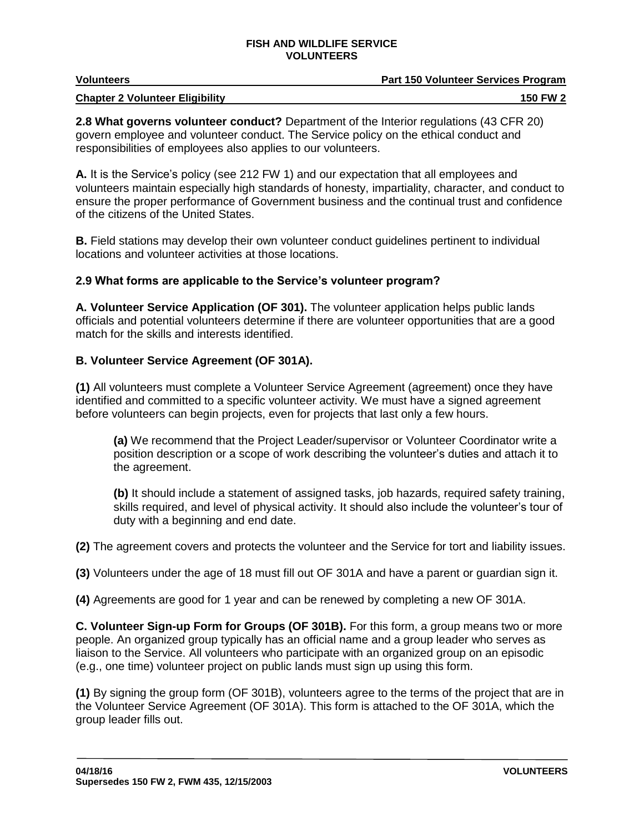| <b>Volunteers</b>                      | <b>Part 150 Volunteer Services Program</b> |
|----------------------------------------|--------------------------------------------|
| <b>Chapter 2 Volunteer Eligibility</b> | <b>150 FW 2</b>                            |

**2.8 What governs volunteer conduct?** Department of the Interior regulations (43 CFR 20) govern employee and volunteer conduct. The Service policy on the ethical conduct and responsibilities of employees also applies to our volunteers.

**A.** It is the Service's policy (see 212 FW 1) and our expectation that all employees and volunteers maintain especially high standards of honesty, impartiality, character, and conduct to ensure the proper performance of Government business and the continual trust and confidence of the citizens of the United States.

**B.** Field stations may develop their own volunteer conduct guidelines pertinent to individual locations and volunteer activities at those locations.

# **2.9 What forms are applicable to the Service's volunteer program?**

**A. Volunteer Service Application (OF 301).** The volunteer application helps public lands officials and potential volunteers determine if there are volunteer opportunities that are a good match for the skills and interests identified.

# **B. Volunteer Service Agreement (OF 301A).**

**(1)** All volunteers must complete a Volunteer Service Agreement (agreement) once they have identified and committed to a specific volunteer activity. We must have a signed agreement before volunteers can begin projects, even for projects that last only a few hours.

**(a)** We recommend that the Project Leader/supervisor or Volunteer Coordinator write a position description or a scope of work describing the volunteer's duties and attach it to the agreement.

**(b)** It should include a statement of assigned tasks, job hazards, required safety training, skills required, and level of physical activity. It should also include the volunteer's tour of duty with a beginning and end date.

**(2)** The agreement covers and protects the volunteer and the Service for tort and liability issues.

**(3)** Volunteers under the age of 18 must fill out OF 301A and have a parent or guardian sign it.

**(4)** Agreements are good for 1 year and can be renewed by completing a new OF 301A.

**C. Volunteer Sign-up Form for Groups (OF 301B).** For this form, a group means two or more people. An organized group typically has an official name and a group leader who serves as liaison to the Service. All volunteers who participate with an organized group on an episodic (e.g., one time) volunteer project on public lands must sign up using this form.

**(1)** By signing the group form (OF 301B), volunteers agree to the terms of the project that are in the Volunteer Service Agreement (OF 301A). This form is attached to the OF 301A, which the group leader fills out.